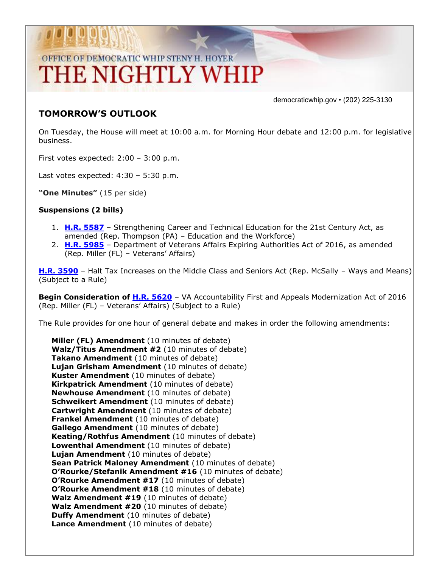## OFFICE OF DEMOCRATIC WHIP STENY H. HOYER THE NIGHTLY WHIP

democraticwhip.gov • (202) 225-3130

### **TOMORROW'S OUTLOOK**

On Tuesday, the House will meet at 10:00 a.m. for Morning Hour debate and 12:00 p.m. for legislative business.

First votes expected: 2:00 – 3:00 p.m.

Last votes expected:  $4:30 - 5:30$  p.m.

**"One Minutes"** (15 per side)

#### **Suspensions (2 bills)**

- 1. **[H.R. 5587](http://thomas.loc.gov/cgi-bin/bdquery/z?d114:HR5587:/)** Strengthening Career and Technical Education for the 21st Century Act, as amended (Rep. Thompson (PA) – Education and the Workforce)
- 2. **[H.R. 5985](http://thomas.loc.gov/cgi-bin/bdquery/z?d114:HR5985:/)** Department of Veterans Affairs Expiring Authorities Act of 2016, as amended (Rep. Miller (FL) – Veterans' Affairs)

**[H.R. 3590](http://thomas.loc.gov/cgi-bin/bdquery/z?d114:HR3590:/)** – Halt Tax Increases on the Middle Class and Seniors Act (Rep. McSally – Ways and Means) (Subject to a Rule)

**Begin Consideration of [H.R. 5620](http://thomas.loc.gov/cgi-bin/bdquery/z?d114:HR5620:/)** – VA Accountability First and Appeals Modernization Act of 2016 (Rep. Miller (FL) – Veterans' Affairs) (Subject to a Rule)

The Rule provides for one hour of general debate and makes in order the following amendments:

**Miller (FL) Amendment** (10 minutes of debate) **Walz/Titus Amendment #2** (10 minutes of debate) **Takano Amendment** (10 minutes of debate) **Lujan Grisham Amendment** (10 minutes of debate) **Kuster Amendment** (10 minutes of debate) **Kirkpatrick Amendment** (10 minutes of debate) **Newhouse Amendment** (10 minutes of debate) **Schweikert Amendment** (10 minutes of debate) **Cartwright Amendment** (10 minutes of debate) **Frankel Amendment** (10 minutes of debate) **Gallego Amendment** (10 minutes of debate) **Keating/Rothfus Amendment** (10 minutes of debate) **Lowenthal Amendment** (10 minutes of debate) **Lujan Amendment** (10 minutes of debate) **Sean Patrick Maloney Amendment** (10 minutes of debate) **O'Rourke/Stefanik Amendment #16** (10 minutes of debate) **O'Rourke Amendment #17** (10 minutes of debate) **O'Rourke Amendment #18** (10 minutes of debate) **Walz Amendment #19** (10 minutes of debate) **Walz Amendment #20** (10 minutes of debate) **Duffy Amendment** (10 minutes of debate) **Lance Amendment** (10 minutes of debate)